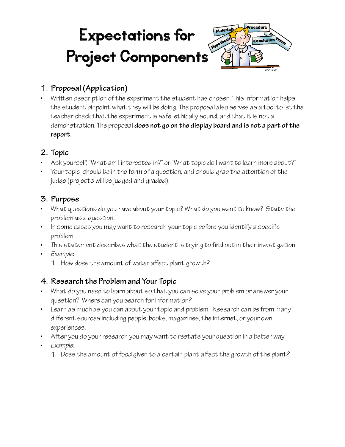#### rocedure Materials Expectations for  $\mathcal{S}_n$ **Conclusion** Emer MYPO Project Components

## **1. Proposal (Application)**

• Writen description of the experiment the student has chosen. This information helps the student pinpoint what they will be doing. The proposal also serves as a tool to let the teacher check that the experiment is safe, ethically sound, and that it is not a demonstration. The proposal **does not go on the display board and is not a part of the report.** 

#### **2. Topic**

- Ask yourself, "What am I interested in?" or "What topic do I want to learn more about?"
- Your topic should be in the form of a question, and should grab the attention of the judge (projects will be judged and graded).

#### **3. Purpose**

- What questions do you have about your topic? What do you want to know? State the problem as a question.
- In some cases you may want to research your topic before you identify a specifc problem.
- This statement describes what the student is trying to fnd out in their investigation.
- *Example*:
	- 1. How does the amount of water affect plant growth?

### **4. Research the Problem and Your Topic**

- What do you need to learn about so that you can solve your problem or answer your question? Where can you search for information?
- Learn as much as you can about your topic and problem. Research can be from many different sources including people, books, magazines, the internet, or your own experiences.
- After you do your research you may want to restate your question in a better way.
- *Example*:
	- 1. Does the amount of food given to a certain plant affect the growth of the plant?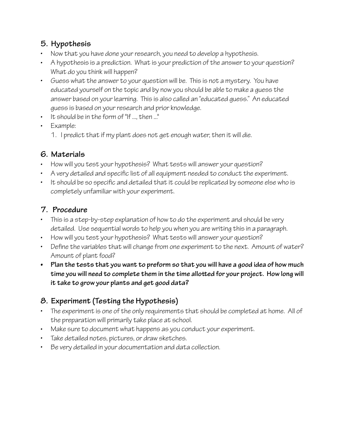## **5. Hypothesis**

- Now that you have done your research, you need to develop a hypothesis.
- A hypothesis is a prediction. What is your prediction of the answer to your question? What do you think will happen?
- Guess what the answer to your question will be. This is not a mystery. You have educated yourself on the topic and by now you should be able to make a guess the answer based on your learning. This is also called an "educated guess." An educated guess is based on your research and prior knowledge.
- It should be in the form of "If ..., then ..."
- Example:
	- 1. I predict that if my plant does not get enough water, then it will die.

### **6. Materials**

- How will you test your hypothesis? What tests will answer your question?
- A very detailed and specifc list of all equipment needed to conduct the experiment.
- It should be so specifc and detailed that it could be replicated by someone else who is completely unfamiliar with your experiment.

### **7. Procedure**

- This is a step-by-step explanation of how to do the experiment and should be very detailed. Use sequential words to help you when you are writing this in a paragraph.
- How will you test your hypothesis? What tests will answer your question?
- Defne the variables that will change from one experiment to the next. Amount of water? Amount of plant food?
- **• Plan the tests that you want to preform so that you will have a good idea of how much time you will need to complete them in the time alloted for your project. How long will it take to grow your plants and get good data?**

# **8. Experiment (Testing the Hypothesis)**

- The experiment is one of the only requirements that should be completed at home. All of the preparation will primarily take place at school.
- Make sure to document what happens as you conduct your experiment.
- Take detailed notes, pictures, or draw sketches.
- Be very detailed in your documentation and data collection.